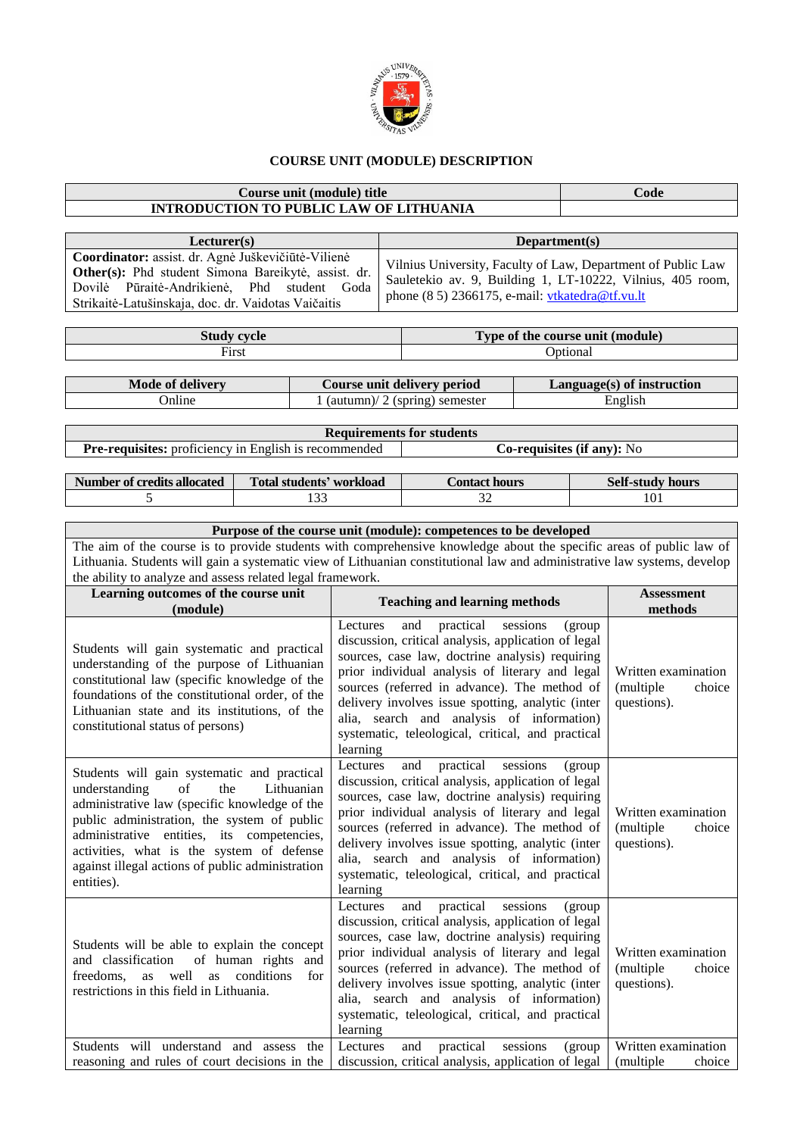

## **COURSE UNIT (MODULE) DESCRIPTION**

## **Course unit (module) title Code INTRODUCTION TO PUBLIC LAW OF LITHUANIA**

**Lecturer(s) Department(s) Coordinator:** assist. dr. Agnė Juškevičiūtė-Vilienė **Other(s):** Phd student Simona Bareikytė, assist. dr. Dovilė Pūraitė-Andrikienė, Phd student Goda Strikaitė-Latušinskaja, doc. dr. Vaidotas Vaičaitis Vilnius University, Faculty of Law, Department of Public Law Sauletekio av. 9, Building 1, LT-10222, Vilnius, 405 room, phone (8 5) 2366175, e-mail[: vtkatedra@tf.vu.lt](mailto:vtkatedra@tf.vu.lt)

| 370 LA<br>Duu     | the course unit (module)<br><b></b><br>Tyne of |
|-------------------|------------------------------------------------|
| $_{\text{First}}$ | tiona                                          |

| <b>Mode of delivery</b> | Course unit delivery period                | $Language(s)$ of instruction |
|-------------------------|--------------------------------------------|------------------------------|
| <b>Online</b>           | $\frac{1}{2}$ (autumn) 2 (spring) semester | English                      |

| <b>Requirements for students</b>                             |                                   |  |  |  |  |  |
|--------------------------------------------------------------|-----------------------------------|--|--|--|--|--|
| <b>Pre-requisites:</b> proficiency in English is recommended | <b>Co-requisites (if any):</b> No |  |  |  |  |  |
|                                                              |                                   |  |  |  |  |  |

| Number of credits allocated | Total students' workload | Contact hours. | <b>Self-study hours</b> |
|-----------------------------|--------------------------|----------------|-------------------------|
|                             | .                        | $\sim$<br>◡    | 101                     |

| Purpose of the course unit (module): competences to be developed                                                                                                                                                                                                                    |                                                                                                                                                                                                                                                                                                                                                                                                                         |                                                            |  |  |  |  |  |
|-------------------------------------------------------------------------------------------------------------------------------------------------------------------------------------------------------------------------------------------------------------------------------------|-------------------------------------------------------------------------------------------------------------------------------------------------------------------------------------------------------------------------------------------------------------------------------------------------------------------------------------------------------------------------------------------------------------------------|------------------------------------------------------------|--|--|--|--|--|
| The aim of the course is to provide students with comprehensive knowledge about the specific areas of public law of                                                                                                                                                                 |                                                                                                                                                                                                                                                                                                                                                                                                                         |                                                            |  |  |  |  |  |
|                                                                                                                                                                                                                                                                                     | Lithuania. Students will gain a systematic view of Lithuanian constitutional law and administrative law systems, develop                                                                                                                                                                                                                                                                                                |                                                            |  |  |  |  |  |
| the ability to analyze and assess related legal framework.                                                                                                                                                                                                                          |                                                                                                                                                                                                                                                                                                                                                                                                                         |                                                            |  |  |  |  |  |
| Learning outcomes of the course unit<br>(module)                                                                                                                                                                                                                                    | <b>Teaching and learning methods</b>                                                                                                                                                                                                                                                                                                                                                                                    | <b>Assessment</b><br>methods                               |  |  |  |  |  |
| Students will gain systematic and practical<br>understanding of the purpose of Lithuanian<br>constitutional law (specific knowledge of the<br>foundations of the constitutional order, of the<br>Lithuanian state and its institutions, of the<br>constitutional status of persons) | practical<br>Lectures<br>and<br>sessions<br>(group)<br>discussion, critical analysis, application of legal<br>sources, case law, doctrine analysis) requiring<br>prior individual analysis of literary and legal<br>sources (referred in advance). The method of<br>delivery involves issue spotting, analytic (inter<br>alia, search and analysis of information)<br>systematic, teleological, critical, and practical | Written examination<br>choice<br>(multiple)<br>questions). |  |  |  |  |  |

Lectures and practical sessions (group discussion, critical analysis, application of legal sources, case law, doctrine analysis) requiring prior individual analysis of literary and legal sources (referred in advance). The method of delivery involves issue spotting, analytic (inter alia, search and analysis of information) systematic, teleological, critical, and practical

Written examination (multiple choice

questions).

learning

learning

Students will gain systematic and practical understanding of the Lithuanian administrative law (specific knowledge of the public administration, the system of public administrative entities, its competencies, activities, what is the system of defense against illegal actions of public administration entities).

Students will be able to explain the concept and classification of human rights and freedoms, as well as conditions for restrictions in this field in Lithuania. Lectures and practical sessions (group discussion, critical analysis, application of legal sources, case law, doctrine analysis) requiring prior individual analysis of literary and legal sources (referred in advance). The method of delivery involves issue spotting, analytic (inter alia, search and analysis of information) systematic, teleological, critical, and practical learning Written examination (multiple choice questions). Students will understand and assess the reasoning and rules of court decisions in the Lectures and practical sessions (group discussion, critical analysis, application of legal Written examination (multiple choice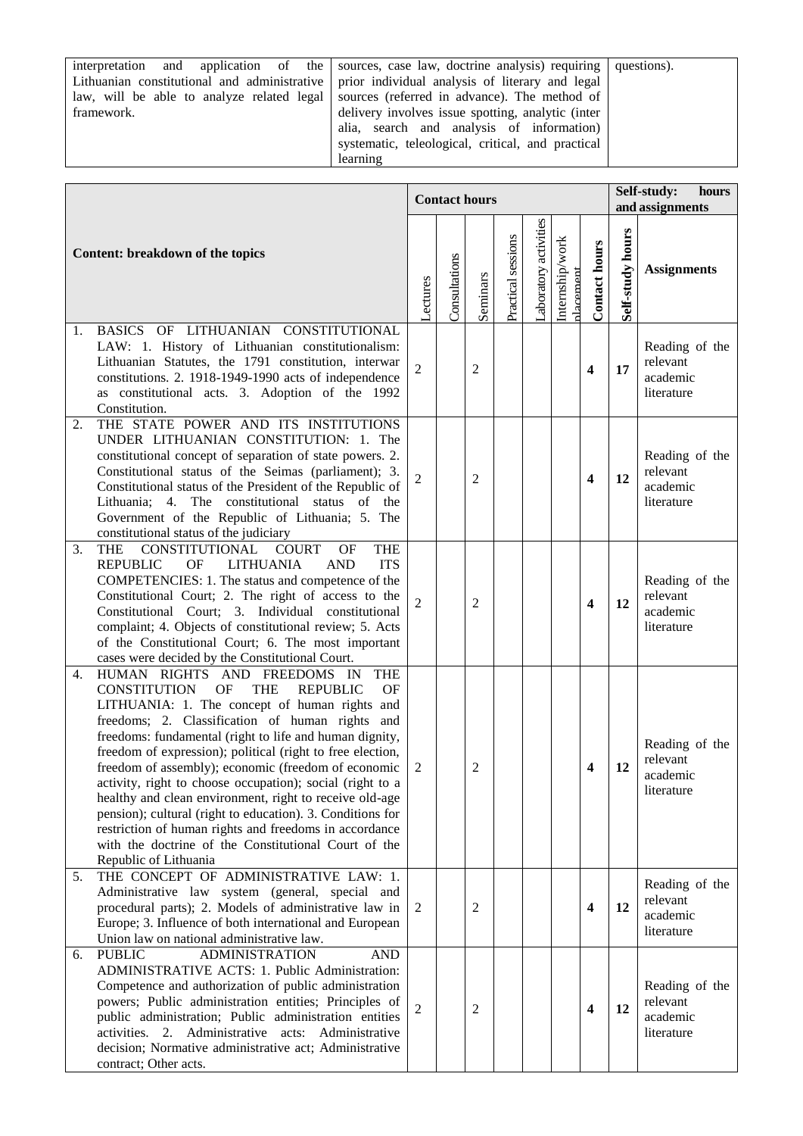interpretation and application of the Lithuanian constitutional and administrative law, will be able to analyze related legal framework.

sources, case law, doctrine analysis) requiring prior individual analysis of literary and legal sources (referred in advance). The method of delivery involves issue spotting, analytic (inter alia, search and analysis of information) systematic, teleological, critical, and practical

questions).

| learning |                                                                                                                                                                                                                                                                                                                                                                                                                                                                                                                                                                                                                                                                                                                                        |                      |               |                |                    |                       |                             |                         |                                         |                                                      |
|----------|----------------------------------------------------------------------------------------------------------------------------------------------------------------------------------------------------------------------------------------------------------------------------------------------------------------------------------------------------------------------------------------------------------------------------------------------------------------------------------------------------------------------------------------------------------------------------------------------------------------------------------------------------------------------------------------------------------------------------------------|----------------------|---------------|----------------|--------------------|-----------------------|-----------------------------|-------------------------|-----------------------------------------|------------------------------------------------------|
|          |                                                                                                                                                                                                                                                                                                                                                                                                                                                                                                                                                                                                                                                                                                                                        |                      |               |                |                    |                       |                             |                         |                                         |                                                      |
|          |                                                                                                                                                                                                                                                                                                                                                                                                                                                                                                                                                                                                                                                                                                                                        | <b>Contact hours</b> |               |                |                    |                       |                             |                         | Self-study:<br>hours<br>and assignments |                                                      |
|          | Content: breakdown of the topics                                                                                                                                                                                                                                                                                                                                                                                                                                                                                                                                                                                                                                                                                                       | <b>Lectures</b>      | Consultations | Seminars       | Practical sessions | Laboratory activities | Internship/work<br>dacement | <b>Contact hours</b>    | Self-study hours                        | <b>Assignments</b>                                   |
| 1.       | BASICS OF LITHUANIAN CONSTITUTIONAL<br>LAW: 1. History of Lithuanian constitutionalism:<br>Lithuanian Statutes, the 1791 constitution, interwar<br>constitutions. 2. 1918-1949-1990 acts of independence<br>as constitutional acts. 3. Adoption of the 1992<br>Constitution.                                                                                                                                                                                                                                                                                                                                                                                                                                                           | 2                    |               | 2              |                    |                       |                             | $\overline{\mathbf{4}}$ | 17                                      | Reading of the<br>relevant<br>academic<br>literature |
| 2.       | THE STATE POWER AND ITS INSTITUTIONS<br>UNDER LITHUANIAN CONSTITUTION: 1. The<br>constitutional concept of separation of state powers. 2.<br>Constitutional status of the Seimas (parliament); 3.<br>Constitutional status of the President of the Republic of<br>Lithuania; 4. The constitutional status of the<br>Government of the Republic of Lithuania; 5. The<br>constitutional status of the judiciary                                                                                                                                                                                                                                                                                                                          | $\overline{2}$       |               | 2              |                    |                       |                             | $\overline{\mathbf{4}}$ | 12                                      | Reading of the<br>relevant<br>academic<br>literature |
| 3.       | <b>THE</b><br>CONSTITUTIONAL COURT<br><b>THE</b><br><b>OF</b><br><b>REPUBLIC</b><br>OF<br><b>LITHUANIA</b><br><b>AND</b><br><b>ITS</b><br>COMPETENCIES: 1. The status and competence of the<br>Constitutional Court; 2. The right of access to the<br>Constitutional Court; 3. Individual constitutional<br>complaint; 4. Objects of constitutional review; 5. Acts<br>of the Constitutional Court; 6. The most important<br>cases were decided by the Constitutional Court.                                                                                                                                                                                                                                                           | 2                    |               | 2              |                    |                       |                             | $\overline{\mathbf{4}}$ | 12                                      | Reading of the<br>relevant<br>academic<br>literature |
| 4.       | <b>THE</b><br>HUMAN RIGHTS AND FREEDOMS IN<br><b>CONSTITUTION</b><br>OF<br><b>THE</b><br><b>REPUBLIC</b><br>OF<br>LITHUANIA: 1. The concept of human rights and<br>freedoms; 2. Classification of human rights<br>and<br>freedoms: fundamental (right to life and human dignity,<br>freedom of expression); political (right to free election,<br>freedom of assembly); economic (freedom of economic<br>activity, right to choose occupation); social (right to a<br>healthy and clean environment, right to receive old-age<br>pension); cultural (right to education). 3. Conditions for<br>restriction of human rights and freedoms in accordance<br>with the doctrine of the Constitutional Court of the<br>Republic of Lithuania | 2                    |               | $\overline{c}$ |                    |                       |                             | 4                       | 12                                      | Reading of the<br>relevant<br>academic<br>literature |
| 5.       | THE CONCEPT OF ADMINISTRATIVE LAW: 1.<br>Administrative law system (general, special and<br>procedural parts); 2. Models of administrative law in<br>Europe; 3. Influence of both international and European<br>Union law on national administrative law.                                                                                                                                                                                                                                                                                                                                                                                                                                                                              | 2                    |               | 2              |                    |                       |                             | $\overline{\mathbf{4}}$ | 12                                      | Reading of the<br>relevant<br>academic<br>literature |
| 6.       | <b>ADMINISTRATION</b><br><b>AND</b><br><b>PUBLIC</b><br>ADMINISTRATIVE ACTS: 1. Public Administration:<br>Competence and authorization of public administration<br>powers; Public administration entities; Principles of<br>public administration; Public administration entities<br>activities. 2. Administrative acts: Administrative<br>decision; Normative administrative act; Administrative<br>contract; Other acts.                                                                                                                                                                                                                                                                                                             | 2                    |               | 2              |                    |                       |                             | $\overline{\mathbf{4}}$ | 12                                      | Reading of the<br>relevant<br>academic<br>literature |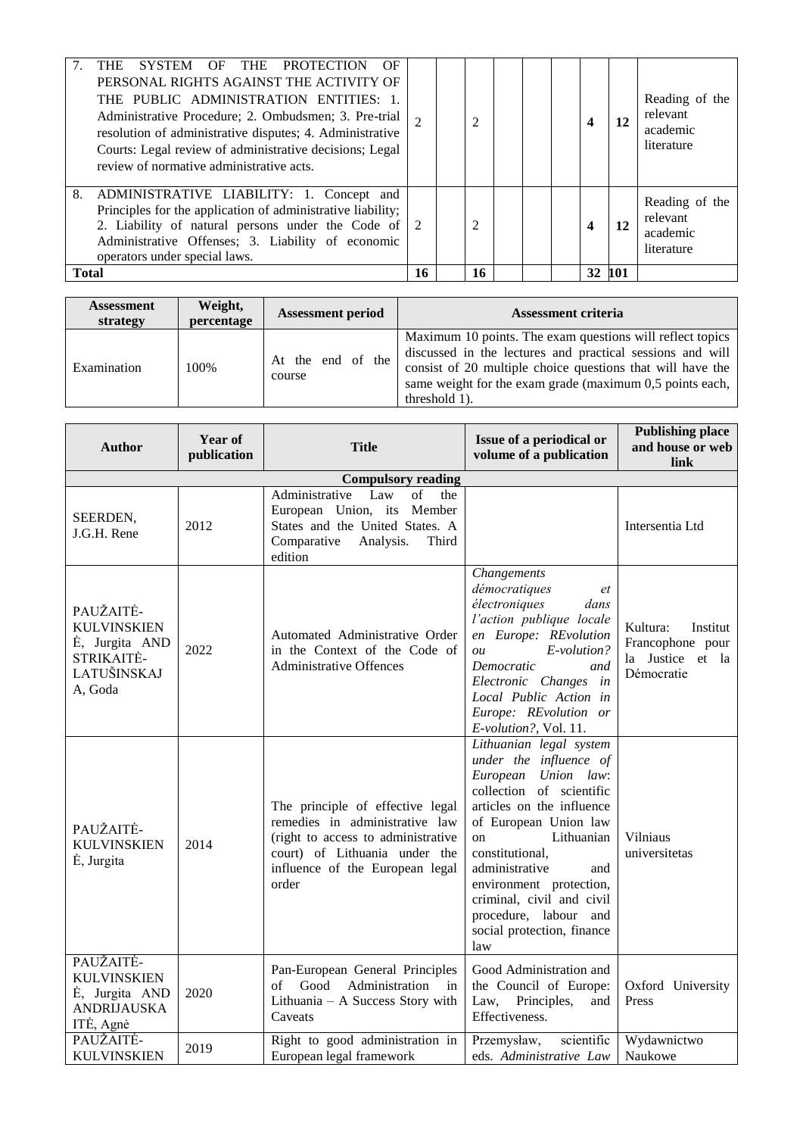| THE SYSTEM OF THE PROTECTION<br>OF<br>PERSONAL RIGHTS AGAINST THE ACTIVITY OF<br>THE PUBLIC ADMINISTRATION ENTITIES: 1.<br>Administrative Procedure; 2. Ombudsmen; 3. Pre-trial<br>resolution of administrative disputes; 4. Administrative<br>Courts: Legal review of administrative decisions; Legal<br>review of normative administrative acts. | $\mathcal{D}_{\mathcal{L}}$ | 2  |  | 4      | 12 | Reading of the<br>relevant<br>academic<br>literature |
|----------------------------------------------------------------------------------------------------------------------------------------------------------------------------------------------------------------------------------------------------------------------------------------------------------------------------------------------------|-----------------------------|----|--|--------|----|------------------------------------------------------|
| ADMINISTRATIVE LIABILITY: 1. Concept and<br>8.<br>Principles for the application of administrative liability;<br>2. Liability of natural persons under the Code of $ 2$<br>Administrative Offenses; 3. Liability of economic<br>operators under special laws.                                                                                      |                             | 2  |  | 4      | 12 | Reading of the<br>relevant<br>academic<br>literature |
| <b>Total</b>                                                                                                                                                                                                                                                                                                                                       | 16                          | 16 |  | 32 101 |    |                                                      |

| <b>Assessment</b><br>strategy | Weight,<br>percentage | <b>Assessment period</b>    | <b>Assessment criteria</b>                                                                                                                                                                                                                                        |
|-------------------------------|-----------------------|-----------------------------|-------------------------------------------------------------------------------------------------------------------------------------------------------------------------------------------------------------------------------------------------------------------|
| Examination                   | 100%                  | At the end of the<br>course | Maximum 10 points. The exam questions will reflect topics<br>discussed in the lectures and practical sessions and will<br>consist of 20 multiple choice questions that will have the<br>same weight for the exam grade (maximum 0,5 points each,<br>threshold 1). |

| <b>Author</b>                                                                             | Year of<br>publication | <b>Title</b>                                                                                                                                                                          | Issue of a periodical or<br>volume of a publication                                                                                                                                                                                                                                                                                                         | <b>Publishing place</b><br>and house or web<br>link                        |  |  |  |  |
|-------------------------------------------------------------------------------------------|------------------------|---------------------------------------------------------------------------------------------------------------------------------------------------------------------------------------|-------------------------------------------------------------------------------------------------------------------------------------------------------------------------------------------------------------------------------------------------------------------------------------------------------------------------------------------------------------|----------------------------------------------------------------------------|--|--|--|--|
| <b>Compulsory reading</b>                                                                 |                        |                                                                                                                                                                                       |                                                                                                                                                                                                                                                                                                                                                             |                                                                            |  |  |  |  |
| SEERDEN,<br>J.G.H. Rene                                                                   | 2012                   | Law<br>Administrative<br>of<br>the<br>European Union, its<br>Member<br>States and the United States. A<br>Comparative<br>Analysis.<br>Third<br>edition                                |                                                                                                                                                                                                                                                                                                                                                             | Intersentia Ltd                                                            |  |  |  |  |
| PAUŽAITĖ-<br><b>KULVINSKIEN</b><br>Ė, Jurgita AND<br>STRIKAITĖ-<br>LATUŠINSKAJ<br>A, Goda | 2022                   | Automated Administrative Order<br>in the Context of the Code of<br><b>Administrative Offences</b>                                                                                     | Changements<br>démocratiques<br>et<br>électroniques<br>dans<br>l'action publique locale<br>en Europe: REvolution<br>$E$ -volution?<br>ou<br>Democratic<br>and<br>Electronic Changes in<br>Local Public Action in<br>Europe: REvolution or<br>E-volution?, Vol. 11.                                                                                          | Kultura:<br>Institut<br>Francophone pour<br>la Justice et la<br>Démocratie |  |  |  |  |
| PAUŽAITĖ-<br><b>KULVINSKIEN</b><br>Ė, Jurgita                                             | 2014                   | The principle of effective legal<br>remedies in administrative law<br>(right to access to administrative<br>court) of Lithuania under the<br>influence of the European legal<br>order | Lithuanian legal system<br>under the influence of<br>European Union law:<br>collection of scientific<br>articles on the influence<br>of European Union law<br>Lithuanian<br><sub>on</sub><br>constitutional,<br>administrative<br>and<br>environment protection,<br>criminal, civil and civil<br>procedure, labour and<br>social protection, finance<br>law | Vilniaus<br>universitetas                                                  |  |  |  |  |
| PAUŽAITĖ-<br><b>KULVINSKIEN</b><br>Ė, Jurgita AND<br><b>ANDRIJAUSKA</b><br>ITĖ, Agnė      | 2020                   | Pan-European General Principles<br>Good<br>Administration<br>of<br>in<br>Lithuania - A Success Story with<br>Caveats                                                                  | Good Administration and<br>the Council of Europe:<br>Law,<br>Principles,<br>and<br>Effectiveness.                                                                                                                                                                                                                                                           | Oxford University<br>Press                                                 |  |  |  |  |
| PAUŽAITĖ-<br><b>KULVINSKIEN</b>                                                           | 2019                   | Right to good administration in<br>European legal framework                                                                                                                           | scientific<br>Przemysław,<br>eds. Administrative Law                                                                                                                                                                                                                                                                                                        | Wydawnictwo<br>Naukowe                                                     |  |  |  |  |